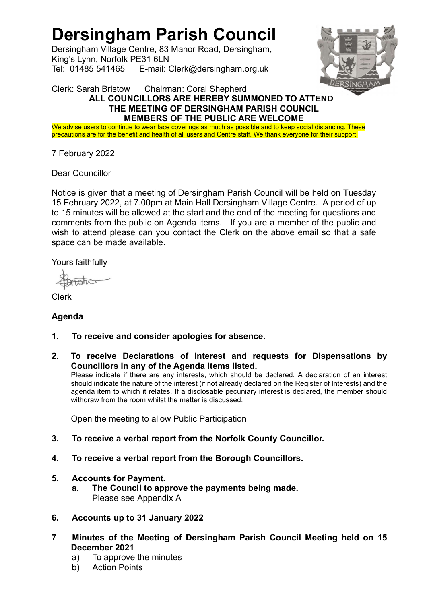# Dersingham Parish Council

Dersingham Village Centre, 83 Manor Road, Dersingham, King's Lynn, Norfolk PE31 6LN Tel: 01485 541465 E-mail: Clerk@dersingham.org.uk



#### Clerk: Sarah Bristow Chairman: Coral Shepherd ALL COUNCILLORS ARE HEREBY SUMMONED TO ATTEND THE MEETING OF DERSINGHAM PARISH COUNCIL MEMBERS OF THE PUBLIC ARE WELCOME

We advise users to continue to wear face coverings as much as possible and to keep social distancing. These precautions are for the benefit and health of all users and Centre staff. We thank everyone for their support.

7 February 2022

Dear Councillor

Notice is given that a meeting of Dersingham Parish Council will be held on Tuesday 15 February 2022, at 7.00pm at Main Hall Dersingham Village Centre. A period of up to 15 minutes will be allowed at the start and the end of the meeting for questions and comments from the public on Agenda items. If you are a member of the public and wish to attend please can you contact the Clerk on the above email so that a safe space can be made available.

Yours faithfully

**Ata** 

Clerk

# Agenda

- 1. To receive and consider apologies for absence.
- 2. To receive Declarations of Interest and requests for Dispensations by Councillors in any of the Agenda Items listed.

Please indicate if there are any interests, which should be declared. A declaration of an interest should indicate the nature of the interest (if not already declared on the Register of Interests) and the agenda item to which it relates. If a disclosable pecuniary interest is declared, the member should withdraw from the room whilst the matter is discussed.

Open the meeting to allow Public Participation

- 3. To receive a verbal report from the Norfolk County Councillor.
- 4. To receive a verbal report from the Borough Councillors.
- 5. Accounts for Payment.
	- a. The Council to approve the payments being made. Please see Appendix A
- 6. Accounts up to 31 January 2022
- 7 Minutes of the Meeting of Dersingham Parish Council Meeting held on 15 December 2021
	- a) To approve the minutes
	- b) Action Points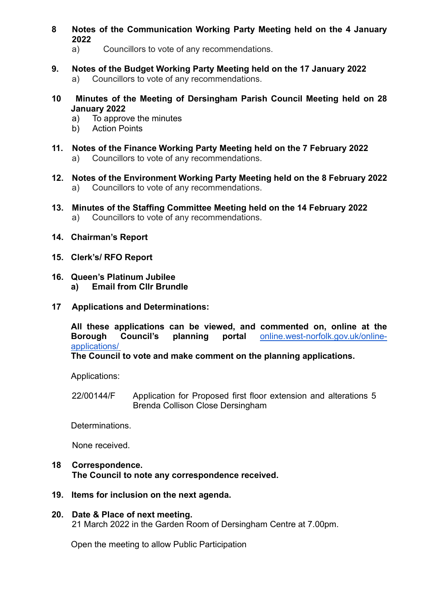- 8 Notes of the Communication Working Party Meeting held on the 4 January 2022
	- a) Councillors to vote of any recommendations.
- 9. Notes of the Budget Working Party Meeting held on the 17 January 2022 a) Councillors to vote of any recommendations.
- 10 Minutes of the Meeting of Dersingham Parish Council Meeting held on 28 January 2022
	- a) To approve the minutes
	- b) Action Points
- 11. Notes of the Finance Working Party Meeting held on the 7 February 2022 a) Councillors to vote of any recommendations.
- 12. Notes of the Environment Working Party Meeting held on the 8 February 2022 a) Councillors to vote of any recommendations.
- 13. Minutes of the Staffing Committee Meeting held on the 14 February 2022 a) Councillors to vote of any recommendations.
- 14. Chairman's Report
- 15. Clerk's/ RFO Report
- 16. Queen's Platinum Jubilee a) Email from Cllr Brundle
- 17 Applications and Determinations:

 All these applications can be viewed, and commented on, online at the Borough Council's planning portal online.west-norfolk.gov.uk/onlineapplications/

The Council to vote and make comment on the planning applications.

Applications:

22/00144/F Application for Proposed first floor extension and alterations 5 Brenda Collison Close Dersingham

Determinations.

None received.

- 18 Correspondence. The Council to note any correspondence received.
- 19. Items for inclusion on the next agenda.
- 20. Date & Place of next meeting. 21 March 2022 in the Garden Room of Dersingham Centre at 7.00pm.

Open the meeting to allow Public Participation